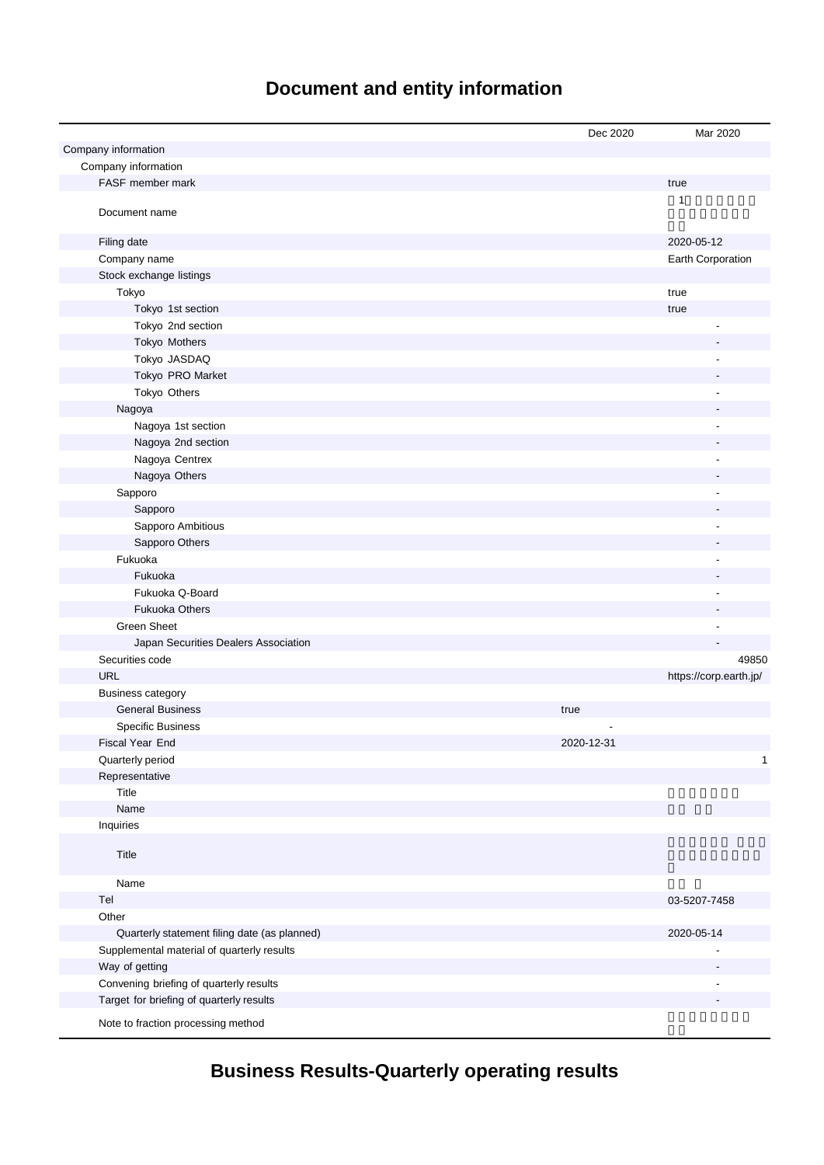## **Document and entity information**

|                                              | Dec 2020   | Mar 2020                 |
|----------------------------------------------|------------|--------------------------|
| Company information                          |            |                          |
| Company information                          |            |                          |
| FASF member mark                             |            | true                     |
| Document name                                |            | $\mathbf{1}$             |
| Filing date                                  |            | 2020-05-12               |
| Company name                                 |            | Earth Corporation        |
| Stock exchange listings                      |            |                          |
| Tokyo                                        |            | true                     |
| Tokyo 1st section                            |            | true                     |
| Tokyo 2nd section                            |            |                          |
| Tokyo Mothers                                |            |                          |
| Tokyo JASDAQ                                 |            |                          |
| Tokyo PRO Market                             |            |                          |
| Tokyo Others                                 |            |                          |
| Nagoya                                       |            |                          |
| Nagoya 1st section                           |            | Ĺ,                       |
| Nagoya 2nd section                           |            |                          |
| Nagoya Centrex                               |            | L,                       |
| Nagoya Others                                |            |                          |
| Sapporo                                      |            | Ĭ.                       |
| Sapporo                                      |            |                          |
| Sapporo Ambitious                            |            |                          |
| Sapporo Others                               |            |                          |
| Fukuoka                                      |            |                          |
| Fukuoka                                      |            |                          |
| Fukuoka Q-Board                              |            |                          |
| <b>Fukuoka Others</b>                        |            |                          |
| <b>Green Sheet</b>                           |            |                          |
| Japan Securities Dealers Association         |            |                          |
| Securities code                              |            | 49850                    |
| <b>URL</b>                                   |            | https://corp.earth.jp/   |
| <b>Business category</b>                     |            |                          |
| <b>General Business</b>                      | true       |                          |
| <b>Specific Business</b>                     |            |                          |
| Fiscal Year End                              | 2020-12-31 |                          |
| Quarterly period                             |            | $\mathbf{1}$             |
| Representative                               |            |                          |
| Title                                        |            |                          |
| Name                                         |            |                          |
| Inquiries                                    |            |                          |
| Title                                        |            |                          |
| Name                                         |            |                          |
| Tel                                          |            | 03-5207-7458             |
| Other                                        |            |                          |
| Quarterly statement filing date (as planned) |            | 2020-05-14               |
| Supplemental material of quarterly results   |            |                          |
| Way of getting                               |            | $\overline{\phantom{a}}$ |
| Convening briefing of quarterly results      |            |                          |
| Target for briefing of quarterly results     |            |                          |
| Note to fraction processing method           |            |                          |

## **Business Results-Quarterly operating results**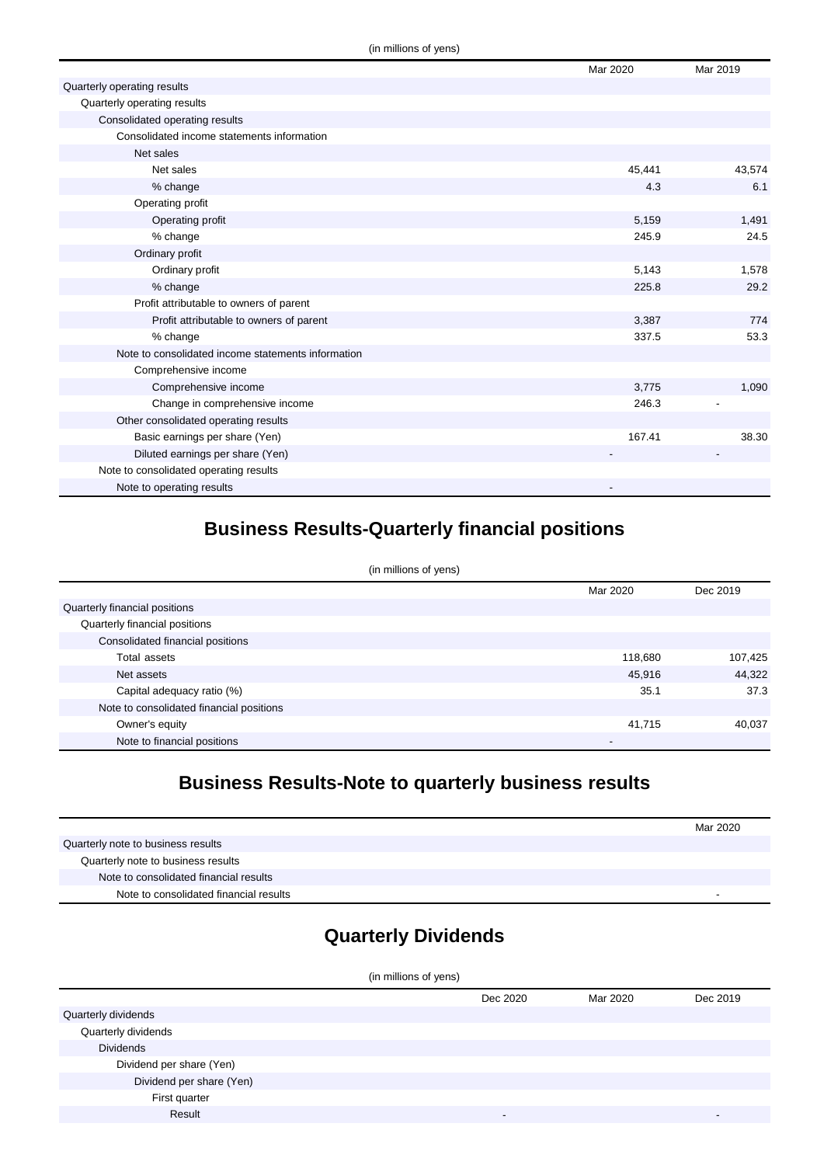|                                                    | Mar 2020 | Mar 2019 |
|----------------------------------------------------|----------|----------|
| Quarterly operating results                        |          |          |
| Quarterly operating results                        |          |          |
| Consolidated operating results                     |          |          |
| Consolidated income statements information         |          |          |
| Net sales                                          |          |          |
| Net sales                                          | 45,441   | 43,574   |
| % change                                           | 4.3      | 6.1      |
| Operating profit                                   |          |          |
| Operating profit                                   | 5,159    | 1,491    |
| % change                                           | 245.9    | 24.5     |
| Ordinary profit                                    |          |          |
| Ordinary profit                                    | 5,143    | 1,578    |
| % change                                           | 225.8    | 29.2     |
| Profit attributable to owners of parent            |          |          |
| Profit attributable to owners of parent            | 3,387    | 774      |
| % change                                           | 337.5    | 53.3     |
| Note to consolidated income statements information |          |          |
| Comprehensive income                               |          |          |
| Comprehensive income                               | 3,775    | 1,090    |
| Change in comprehensive income                     | 246.3    |          |
| Other consolidated operating results               |          |          |
| Basic earnings per share (Yen)                     | 167.41   | 38.30    |
| Diluted earnings per share (Yen)                   |          |          |
| Note to consolidated operating results             |          |          |
| Note to operating results                          |          |          |

## **Business Results-Quarterly financial positions**

| (in millions of yens)                    |          |          |  |
|------------------------------------------|----------|----------|--|
|                                          | Mar 2020 | Dec 2019 |  |
| Quarterly financial positions            |          |          |  |
| Quarterly financial positions            |          |          |  |
| Consolidated financial positions         |          |          |  |
| Total assets                             | 118,680  | 107,425  |  |
| Net assets                               | 45,916   | 44,322   |  |
| Capital adequacy ratio (%)               | 35.1     | 37.3     |  |
| Note to consolidated financial positions |          |          |  |
| Owner's equity                           | 41.715   | 40,037   |  |
| Note to financial positions              | -        |          |  |

## **Business Results-Note to quarterly business results**

|                                        | Mar 2020 |
|----------------------------------------|----------|
| Quarterly note to business results     |          |
| Quarterly note to business results     |          |
| Note to consolidated financial results |          |
| Note to consolidated financial results |          |

## **Quarterly Dividends**

| (in millions of yens)    |          |          |          |
|--------------------------|----------|----------|----------|
|                          | Dec 2020 | Mar 2020 | Dec 2019 |
| Quarterly dividends      |          |          |          |
| Quarterly dividends      |          |          |          |
| <b>Dividends</b>         |          |          |          |
| Dividend per share (Yen) |          |          |          |
| Dividend per share (Yen) |          |          |          |
| First quarter            |          |          |          |
| Result                   | -        |          |          |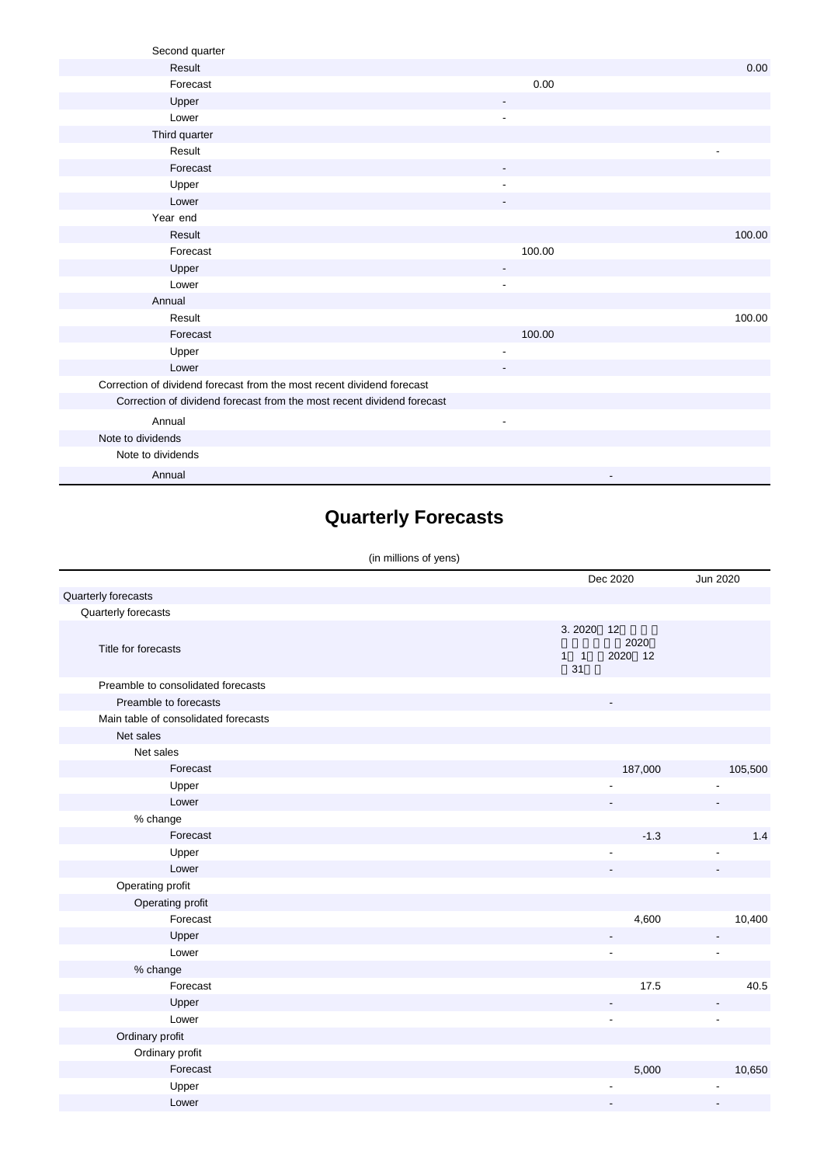| Second quarter                                                         |                          |        |
|------------------------------------------------------------------------|--------------------------|--------|
| Result                                                                 |                          | 0.00   |
| Forecast                                                               | 0.00                     |        |
| Upper                                                                  |                          |        |
| Lower                                                                  | $\overline{\phantom{a}}$ |        |
| Third quarter                                                          |                          |        |
| Result                                                                 |                          |        |
| Forecast                                                               | $\overline{\phantom{a}}$ |        |
| Upper                                                                  |                          |        |
| Lower                                                                  |                          |        |
| Year end                                                               |                          |        |
| Result                                                                 |                          | 100.00 |
| Forecast                                                               | 100.00                   |        |
| Upper                                                                  | $\overline{\phantom{a}}$ |        |
| Lower                                                                  |                          |        |
| Annual                                                                 |                          |        |
| Result                                                                 |                          | 100.00 |
| Forecast                                                               | 100.00                   |        |
| Upper                                                                  | $\overline{\phantom{a}}$ |        |
| Lower                                                                  |                          |        |
| Correction of dividend forecast from the most recent dividend forecast |                          |        |
| Correction of dividend forecast from the most recent dividend forecast |                          |        |
| Annual                                                                 | $\overline{\phantom{a}}$ |        |
| Note to dividends                                                      |                          |        |
| Note to dividends                                                      |                          |        |
| Annual                                                                 |                          |        |

# **Quarterly Forecasts**

#### (in millions of yens)

|                                      |                             | Dec 2020                 | Jun 2020 |
|--------------------------------------|-----------------------------|--------------------------|----------|
| Quarterly forecasts                  |                             |                          |          |
| Quarterly forecasts                  |                             |                          |          |
| Title for forecasts                  | 3.2020<br>$1 \quad 1$<br>31 | 12<br>2020<br>2020 12    |          |
| Preamble to consolidated forecasts   |                             |                          |          |
| Preamble to forecasts                |                             | $\overline{\phantom{a}}$ |          |
| Main table of consolidated forecasts |                             |                          |          |
| Net sales                            |                             |                          |          |
| Net sales                            |                             |                          |          |
| Forecast                             |                             | 187,000                  | 105,500  |
| Upper                                |                             |                          |          |
| Lower                                |                             |                          |          |
| % change                             |                             |                          |          |
| Forecast                             |                             | $-1.3$                   | 1.4      |
| Upper                                |                             |                          |          |
| Lower                                |                             |                          |          |
| Operating profit                     |                             |                          |          |
| Operating profit                     |                             |                          |          |
| Forecast                             |                             | 4,600                    | 10,400   |
| Upper                                |                             |                          |          |
| Lower                                |                             |                          |          |
| % change                             |                             |                          |          |
| Forecast                             |                             | 17.5                     | 40.5     |
| Upper                                |                             |                          |          |
| Lower                                |                             | $\overline{\phantom{a}}$ | ÷,       |
| Ordinary profit                      |                             |                          |          |
| Ordinary profit                      |                             |                          |          |
| Forecast                             |                             | 5,000                    | 10,650   |
| Upper                                |                             |                          |          |
| Lower                                |                             |                          |          |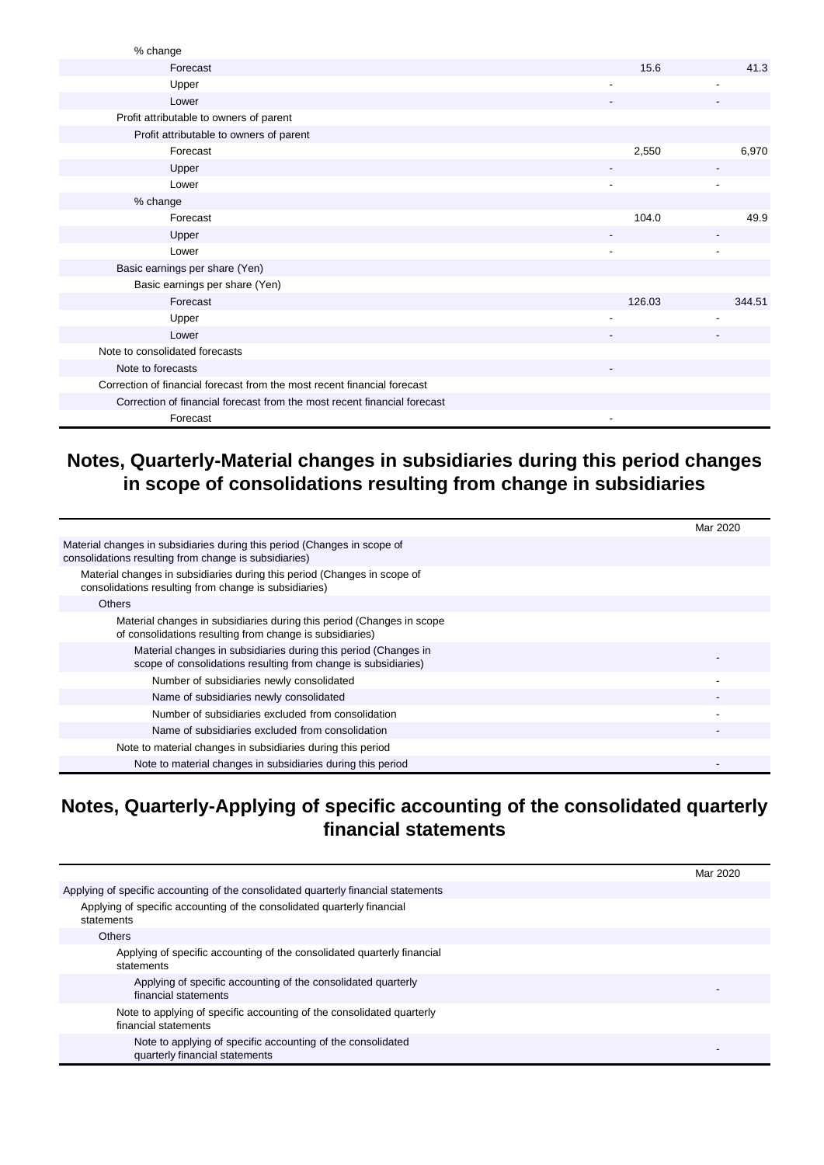| Upper<br>Lower                                                           |        |        |
|--------------------------------------------------------------------------|--------|--------|
|                                                                          |        |        |
|                                                                          |        |        |
|                                                                          |        |        |
|                                                                          |        |        |
|                                                                          |        |        |
|                                                                          |        |        |
|                                                                          |        |        |
|                                                                          |        |        |
| Basic earnings per share (Yen)                                           |        |        |
|                                                                          |        |        |
| Basic earnings per share (Yen)                                           |        |        |
|                                                                          |        |        |
| Forecast                                                                 | 126.03 | 344.51 |
| Upper                                                                    |        |        |
| Lower                                                                    |        |        |
| Note to consolidated forecasts                                           |        |        |
|                                                                          |        |        |
| Note to forecasts                                                        |        |        |
| Correction of financial forecast from the most recent financial forecast |        |        |
|                                                                          |        |        |
| Correction of financial forecast from the most recent financial forecast |        |        |
| Forecast                                                                 |        |        |

### **Notes, Quarterly-Material changes in subsidiaries during this period changes in scope of consolidations resulting from change in subsidiaries**

|                                                                                                                                   | Mar 2020 |
|-----------------------------------------------------------------------------------------------------------------------------------|----------|
| Material changes in subsidiaries during this period (Changes in scope of<br>consolidations resulting from change is subsidiaries) |          |
| Material changes in subsidiaries during this period (Changes in scope of<br>consolidations resulting from change is subsidiaries) |          |
| <b>Others</b>                                                                                                                     |          |
| Material changes in subsidiaries during this period (Changes in scope<br>of consolidations resulting from change is subsidiaries) |          |
| Material changes in subsidiaries during this period (Changes in<br>scope of consolidations resulting from change is subsidiaries) |          |
| Number of subsidiaries newly consolidated                                                                                         |          |
| Name of subsidiaries newly consolidated                                                                                           |          |
| Number of subsidiaries excluded from consolidation                                                                                |          |
| Name of subsidiaries excluded from consolidation                                                                                  |          |
| Note to material changes in subsidiaries during this period                                                                       |          |
| Note to material changes in subsidiaries during this period                                                                       |          |

### **Notes, Quarterly-Applying of specific accounting of the consolidated quarterly financial statements**

|                                                                                               | Mar 2020 |
|-----------------------------------------------------------------------------------------------|----------|
| Applying of specific accounting of the consolidated quarterly financial statements            |          |
| Applying of specific accounting of the consolidated quarterly financial<br>statements         |          |
| Others                                                                                        |          |
| Applying of specific accounting of the consolidated quarterly financial<br>statements         |          |
| Applying of specific accounting of the consolidated quarterly<br>financial statements         |          |
| Note to applying of specific accounting of the consolidated quarterly<br>financial statements |          |
| Note to applying of specific accounting of the consolidated<br>quarterly financial statements |          |